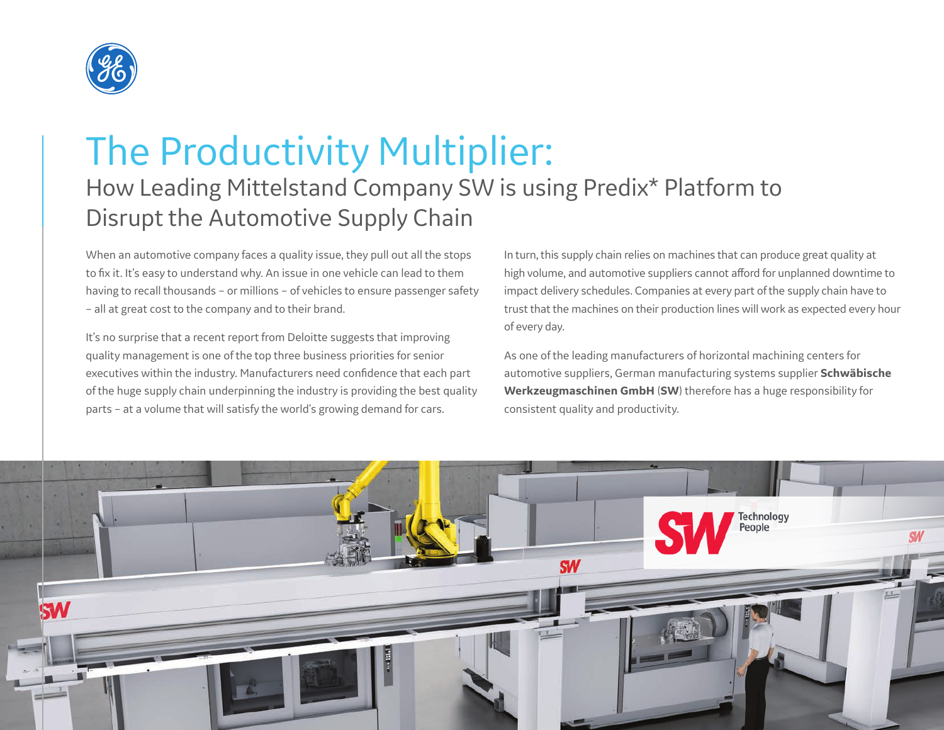

# The Productivity Multiplier: How Leading Mittelstand Company SW is using Predix\* Platform to Disrupt the Automotive Supply Chain

When an automotive company faces a quality issue, they pull out all the stops to fix it. It's easy to understand why. An issue in one vehicle can lead to them having to recall thousands – or millions – of vehicles to ensure passenger safety – all at great cost to the company and to their brand.

It's no surprise that a recent report from Deloitte suggests that improving quality management is one of the top three business priorities for senior executives within the industry. Manufacturers need confidence that each part of the huge supply chain underpinning the industry is providing the best quality parts – at a volume that will satisfy the world's growing demand for cars.

In turn, this supply chain relies on machines that can produce great quality at high volume, and automotive suppliers cannot afford for unplanned downtime to impact delivery schedules. Companies at every part of the supply chain have to trust that the machines on their production lines will work as expected every hour of every day.

As one of the leading manufacturers of horizontal machining centers for automotive suppliers, German manufacturing systems supplier **Schwäbische Werkzeugmaschinen GmbH** (**SW**) therefore has a huge responsibility for consistent quality and productivity.

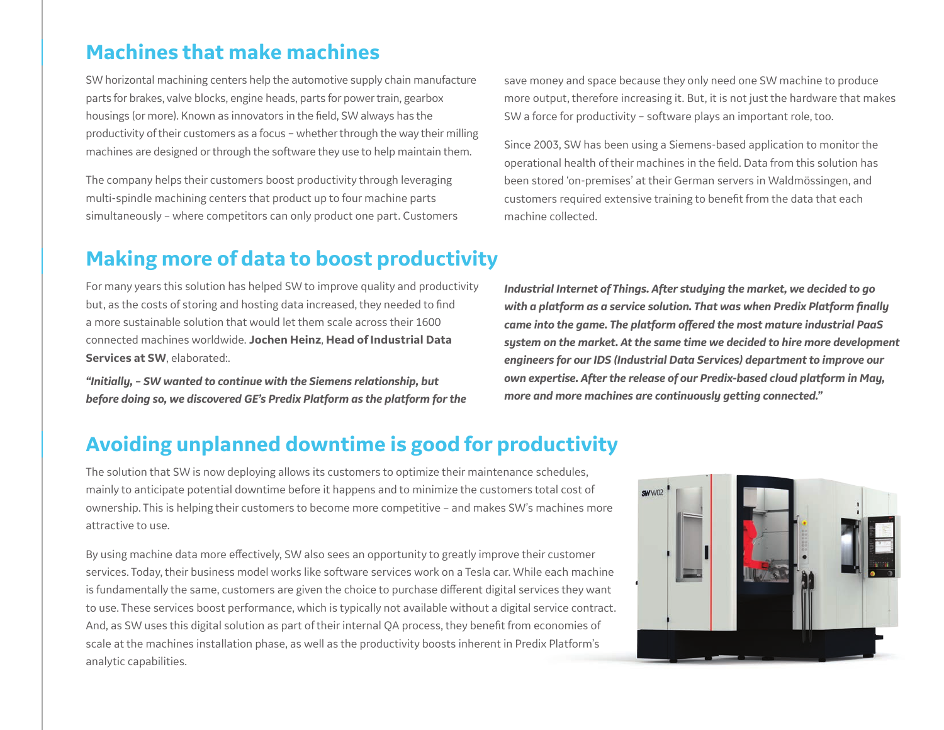### **Machines that make machines**

SW horizontal machining centers help the automotive supply chain manufacture parts for brakes, valve blocks, engine heads, parts for power train, gearbox housings (or more). Known as innovators in the field, SW always has the productivity of their customers as a focus – whether through the way their milling machines are designed or through the software they use to help maintain them.

The company helps their customers boost productivity through leveraging multi-spindle machining centers that product up to four machine parts simultaneously – where competitors can only product one part. Customers

## **Making more of data to boost productivity**

For many years this solution has helped SW to improve quality and productivity but, as the costs of storing and hosting data increased, they needed to find a more sustainable solution that would let them scale across their 1600 connected machines worldwide. **Jochen Heinz**, **Head of Industrial Data Services at SW**, elaborated:.

*"Initially, – SW wanted to continue with the Siemens relationship, but before doing so, we discovered GE's Predix Platform as the platform for the*  save money and space because they only need one SW machine to produce more output, therefore increasing it. But, it is not just the hardware that makes SW a force for productivity – software plays an important role, too.

Since 2003, SW has been using a Siemens-based application to monitor the operational health of their machines in the field. Data from this solution has been stored 'on-premises' at their German servers in Waldmössingen, and customers required extensive training to benefit from the data that each machine collected.

*Industrial Internet of Things. After studying the market, we decided to go with a platform as a service solution. That was when Predix Platform finally came into the game. The platform offered the most mature industrial PaaS system on the market. At the same time we decided to hire more development engineers for our IDS (Industrial Data Services) department to improve our own expertise. After the release of our Predix-based cloud platform in May, more and more machines are continuously getting connected."*

## **Avoiding unplanned downtime is good for productivity**

The solution that SW is now deploying allows its customers to optimize their maintenance schedules, mainly to anticipate potential downtime before it happens and to minimize the customers total cost of ownership. This is helping their customers to become more competitive – and makes SW's machines more attractive to use.

By using machine data more effectively, SW also sees an opportunity to greatly improve their customer services. Today, their business model works like software services work on a Tesla car. While each machine is fundamentally the same, customers are given the choice to purchase different digital services they want to use. These services boost performance, which is typically not available without a digital service contract. And, as SW uses this digital solution as part of their internal QA process, they benefit from economies of scale at the machines installation phase, as well as the productivity boosts inherent in Predix Platform's analytic capabilities.

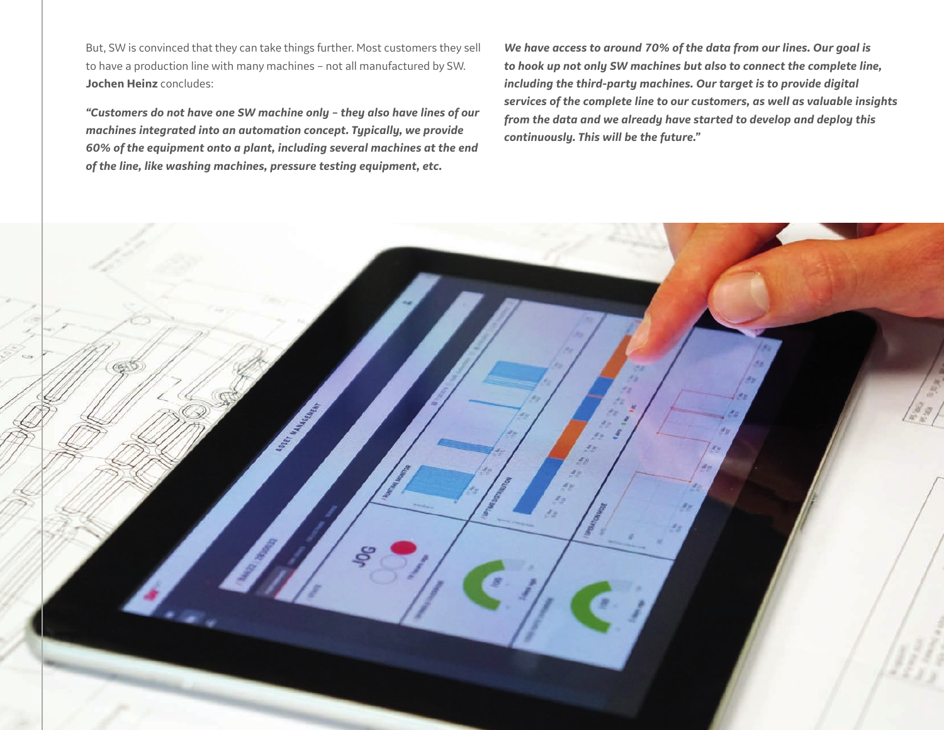But, SW is convinced that they can take things further. Most customers they sell to have a production line with many machines – not all manufactured by SW. **Jochen Heinz** concludes:

*"Customers do not have one SW machine only – they also have lines of our machines integrated into an automation concept. Typically, we provide 60% of the equipment onto a plant, including several machines at the end of the line, like washing machines, pressure testing equipment, etc.*

*We have access to around 70% of the data from our lines. Our goal is to hook up not only SW machines but also to connect the complete line, including the third-party machines. Our target is to provide digital services of the complete line to our customers, as well as valuable insights from the data and we already have started to develop and deploy this continuously. This will be the future."*